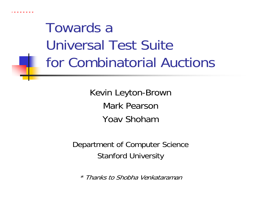

### Towards a Universal Test Suitefor Combinatorial Auctions

Kevin Leyton-Brown Mark PearsonYoav Shoham

Department of Computer Science Stanford University

\* Thanks to Shobha Venkataraman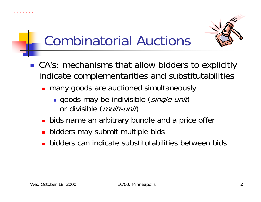



#### Combinatorial Auctions

- CA's: mechanisms that allow bidders to explicitly indicate complementarities and substitutabilities
	- **n** many goods are auctioned simultaneously
		- **goods may be indivisible (single-unit)** or divisible (*multi-unit*)
	- **bids name an arbitrary bundle and a price offer**
	- **bidders may submit multiple bids**
	- bidders can indicate substitutabilities between bids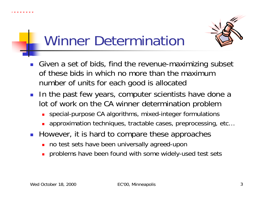



#### Winner Determination

- F Given a set of bids, find the revenue-maximizing subset of these bids in which no more than the maximum number of units for each good is allocated
- **IF The past few years, computer scientists have done a** lot of work on the CA winner determination problem
	- u special-purpose CA algorithms, mixed-integer formulations
	- approximation techniques, tractable cases, preprocessing, etc…
- **However, it is hard to compare these approaches** 
	- П no test sets have been universally agreed-upon
	- problems have been found with some widely-used test sets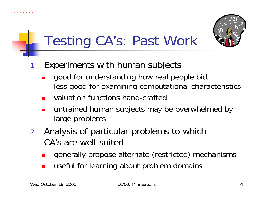



### Testing CA's: Past Work

- 1. Experiments with human subjects
	- П good for understanding how real people bid; less good for examining computational characteristics
	- × valuation functions hand-crafted
	- × untrained human subjects may be overwhelmed by large problems
- 2. Analysis of particular problems to which CA's are well-suited
	- × generally propose alternate (restricted) mechanisms
	- × useful for learning about problem domains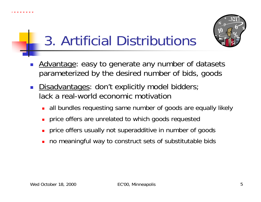





- F Advantage: easy to generate any number of datasets parameterized by the desired number of bids, goods
- $\mathcal{L}_{\mathcal{A}}$ Disadvantages: don't explicitly model bidders; lack a real-world economic motivation
	- ▉ all bundles requesting same number of goods are equally likely
	- П price offers are unrelated to which goods requested
	- П price offers usually not superadditive in number of goods
	- no meaningful way to construct sets of substitutable bids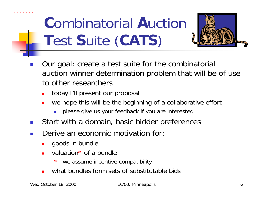

# **C**ombinatorial **A**uction **T**est **S**uite (**CATS**)



- F Our goal: create a test suite for the combinatorial auction winner determination problem that will be of use to other researchers
	- П today I'll present our proposal
	- u we hope this will be the beginning of a collaborative effort
		- г please give us your feedback if you are interested
- $\overline{\phantom{a}}$ Start with a domain, basic bidder preferences
- $\overline{\phantom{a}}$  Derive an economic motivation for:
	- П goods in bundle
	- ▉ valuation\* of a bundle
		- \*we assume incentive compatibility
	- ▉ what bundles form sets of substitutable bids

Wed October 18, 2000 EC'00, Minneapolis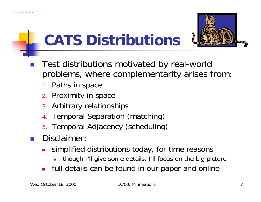



## **CATS Distributions**

- $\mathbb{R}^n$  Test distributions motivated by real-world problems, where complementarity arises from:
	- 1. Paths in space
	- 2. Proximity in space
	- 3. Arbitrary relationships
	- 4. Temporal Separation (matching)
	- 5. Temporal Adjacency (scheduling)
- $\mathbb{R}^2$  Disclaimer:
	- × simplified distributions today, for time reasons
		- though I'll give some details, I'll focus on the big picture
	- × full details can be found in our paper and online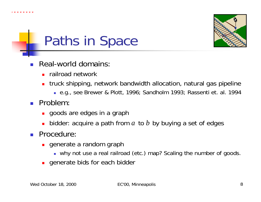



#### Paths in Space

- F Real-world domains:
	- **F** railroad network
	- truck shipping, network bandwidth allocation, natural gas pipeline
		- e.g., see Brewer & Plott, 1996; Sandholm 1993; Rassenti et. al. 1994
- Problem:
	- **goods are edges in a graph**
	- **•** bidder: acquire a path from  $a$  to  $b$  by buying a set of edges
- **Procedure:** 
	- **generate a random graph** 
		- why not use a real railroad (etc.) map? Scaling the number of goods.
	- ▉ generate bids for each bidder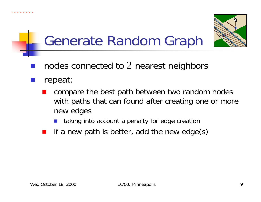

 $\mathbb{R}^2$ 



### Generate Random Graph

- ■ nodes connected to 2 nearest neighbors
	- repeat:
		- Т, compare the best path between two random nodes with paths that can found after creating one or more new edges
			- P. taking into account a penalty for edge creation
		- if a new path is better, add the new edge(s)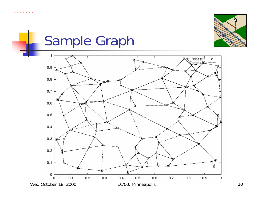



## Sample Graph

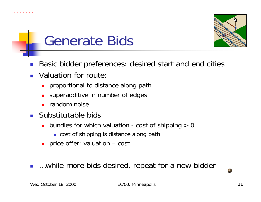





- F Basic bidder preferences: desired start and end cities
- $\mathcal{L}(\mathcal{A})$  Valuation for route:
	- u proportional to distance along path
	- superadditive in number of edges
	- П random noise
- **Substitutable bids** 
	- bundles for which valuation cost of shipping > 0
		- cost of shipping is distance along path
	- price offer: valuation cost
- …while more bids desired, repeat for a new bidder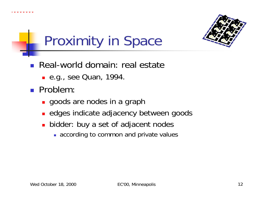





- **Real-world domain: real estate** 
	- e.g., see Quan, 1994.
- Problem:
	- **goods are nodes in a graph**
	- **Example 2 adjacency between goods**
	- bidder: buy a set of adjacent nodes
		- **according to common and private values**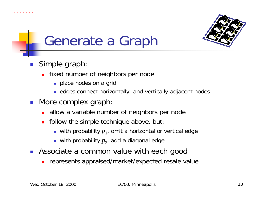



### Generate a Graph

- **Simple graph:** 
	- **Fixed number of neighbors per node** 
		- **place nodes on a grid**
		- **EX** edges connect horizontally- and vertically-adjacent nodes
- **More complex graph:** 
	- **allow a variable number of neighbors per node**
	- **follow the simple technique above, but:** 
		- $\blacksquare$  with probability  $p_1$ , omit a horizontal or vertical edge
		- $\textcolor{red}{\bullet}$  with probability  $p_{2}$ , add a diagonal edge
- $\overline{\phantom{a}}$  Associate a common value with each good
	- represents appraised/market/expected resale value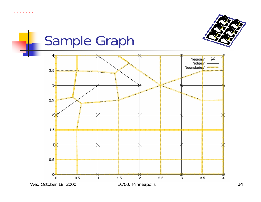



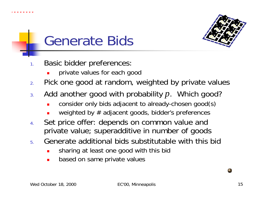





- 1. Basic bidder preferences:
	- private values for each good
- 2.Pick one good at random, weighted by private values
- 3. Add another good with probability *p*. Which good?
	- consider only bids adjacent to already-chosen good(s)
	- weighted by  $#$  adjacent goods, bidder's preferences
- 4. Set price offer: depends on common value and private value; superadditive in number of goods
- 5. Generate additional bids substitutable with this bid
	- sharing at least one good with this bid
	- П based on same private values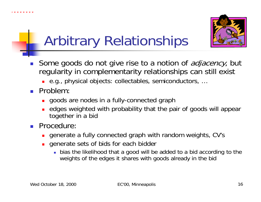



## Arbitrary Relationships

- $\overline{\phantom{a}}$ Some goods do not give rise to a notion of *adjacency*, but regularity in complementarity relationships can still exist
	- e.g., physical objects: collectables, semiconductors, …
- Problem:
	- **goods are nodes in a fully-connected graph**
	- u edges weighted with probability that the pair of goods will appear together in a bid
- **Procedure:** 
	- П generate a fully connected graph with random weights, CV's
	- П generate sets of bids for each bidder
		- bias the likelihood that a good will be added to a bid according to the weights of the edges it shares with goods already in the bid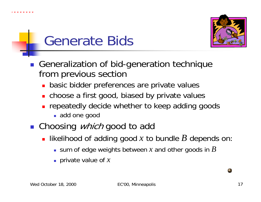





- Generalization of bid-generation technique from previous section
	- **basic bidder preferences are private values**
	- **n** choose a first good, biased by private values
	- **n** repeatedly decide whether to keep adding goods
		- add one good
- Choosing *which* good to add
	- **Example 2** likelihood of adding good x to bundle B depends on:
		- $\blacksquare$  sum of edge weights between  $x$  and other goods in  $B$
		- private value of *x*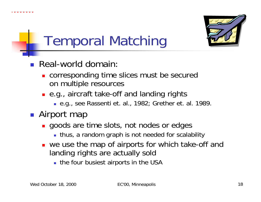



# Temporal Matching

- Real-world domain:
	- **.** corresponding time slices must be secured on multiple resources
	- e.g., aircraft take-off and landing rights
		- e.g., see Rassenti et. al., 1982; Grether et. al. 1989.
- **Airport map** 
	- **goods are time slots, not nodes or edges** 
		- **thus, a random graph is not needed for scalability**
	- **u** we use the map of airports for which take-off and landing rights are actually sold
		- **the four busiest airports in the USA**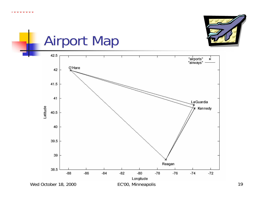



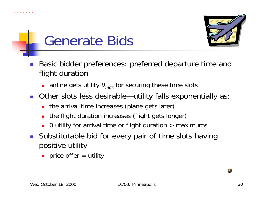





- F Basic bidder preferences: preferred departure time and flight duration
	- $\blacksquare$  airline gets utility  $u_{max}$  for securing these time slots
- Other slots less desirable—utility falls exponentially as:
	- the arrival time increases (plane gets later)
	- П the flight duration increases (flight gets longer)
	- u 0 utility for arrival time or flight duration  $>$  maximums
- $\mathcal{L}_{\text{max}}$  Substitutable bid for every pair of time slots having positive utility
	- **Price offer = utility**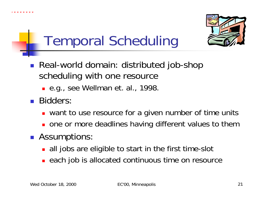



## Temporal Scheduling

- Real-world domain: distributed job-shop scheduling with one resource
	- e.g., see Wellman et. al., 1998.
- **Bidders:** 
	- **u** want to use resource for a given number of time units
	- **nome or more deadlines having different values to them**
- **Assumptions:** 
	- **all jobs are eligible to start in the first time-slot**
	- **Example 20 is allocated continuous time on resource**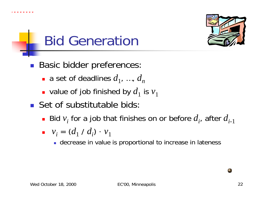





- **Basic bidder preferences:** 
	- **a** set of deadlines  $d_1$ , ...,  $d_n$
	- **-** value of job finished by  $d_1$  is  $v_1$
- **Set of substitutable bids:** 
	- **•** Bid  $v_i$  for a job that finishes on or before  $d_i$ , after  $d_{i-1}$

$$
\bullet \quad v_i = (d_1 \wedge d_i) \cdot v_1
$$

**decrease in value is proportional to increase in lateness**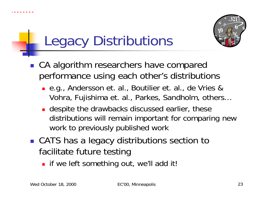



## Legacy Distributions

- CA algorithm researchers have compared performance using each other's distributions
	- e.g., Andersson et. al., Boutilier et. al., de Vries & Vohra, Fujishima et. al., Parkes, Sandholm, others…
	- **despite the drawbacks discussed earlier, these** distributions will remain important for comparing new work to previously published work
- CATS has a legacy distributions section to facilitate future testing
	- **I** if we left something out, we'll add it!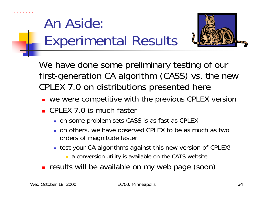

#### An Aside: Experimental Results



We have done some preliminary testing of our first-generation CA algorithm (CASS) vs. the new CPLEX 7.0 on distributions presented here

- **•** we were competitive with the previous CPLEX version
- CPLEX 7.0 is much faster
	- on some problem sets CASS is as fast as CPLEX
	- **our others, we have observed CPLEX to be as much as two** orders of magnitude faster
	- test your CA algorithms against this new version of CPLEX!
		- **a** conversion utility is available on the CATS website
- **Fig. 2** results will be available on my web page (soon)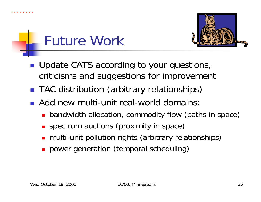





- **Update CATS according to your questions,** criticisms and suggestions for improvement
- **TAC distribution (arbitrary relationships)**
- **Add new multi-unit real-world domains:** 
	- **Democration**, commodity flow (paths in space)
	- **SPECTRUM auctions (proximity in space)**
	- П multi-unit pollution rights (arbitrary relationships)
	- **power generation (temporal scheduling)**